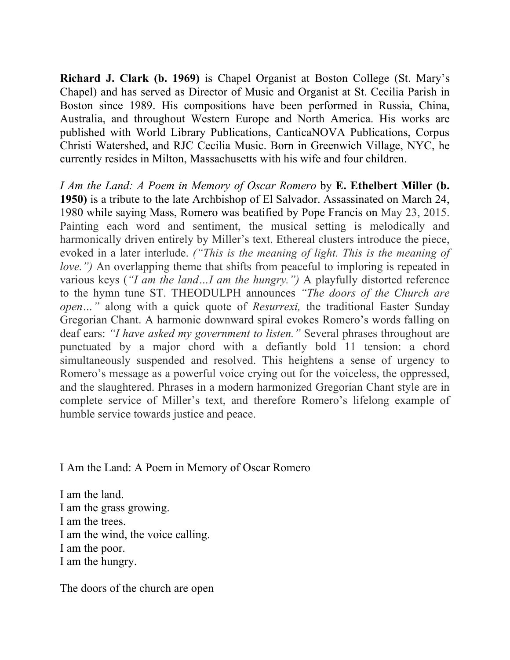**Richard J. Clark (b. 1969)** is Chapel Organist at Boston College (St. Mary's Chapel) and has served as Director of Music and Organist at St. Cecilia Parish in Boston since 1989. His compositions have been performed in Russia, China, Australia, and throughout Western Europe and North America. His works are published with World Library Publications, CanticaNOVA Publications, Corpus Christi Watershed, and RJC Cecilia Music. Born in Greenwich Village, NYC, he currently resides in Milton, Massachusetts with his wife and four children.

*I Am the Land: A Poem in Memory of Oscar Romero* by **E. Ethelbert Miller (b. 1950)** is a tribute to the late Archbishop of El Salvador. Assassinated on March 24, 1980 while saying Mass, Romero was beatified by Pope Francis on May 23, 2015. Painting each word and sentiment, the musical setting is melodically and harmonically driven entirely by Miller's text. Ethereal clusters introduce the piece, evoked in a later interlude. *("This is the meaning of light. This is the meaning of love."*) An overlapping theme that shifts from peaceful to imploring is repeated in various keys (*"I am the land…I am the hungry.")* A playfully distorted reference to the hymn tune ST. THEODULPH announces *"The doors of the Church are open…"* along with a quick quote of *Resurrexi,* the traditional Easter Sunday Gregorian Chant. A harmonic downward spiral evokes Romero's words falling on deaf ears: *"I have asked my government to listen."* Several phrases throughout are punctuated by a major chord with a defiantly bold 11 tension: a chord simultaneously suspended and resolved. This heightens a sense of urgency to Romero's message as a powerful voice crying out for the voiceless, the oppressed, and the slaughtered. Phrases in a modern harmonized Gregorian Chant style are in complete service of Miller's text, and therefore Romero's lifelong example of humble service towards justice and peace.

I Am the Land: A Poem in Memory of Oscar Romero

I am the land. I am the grass growing. I am the trees. I am the wind, the voice calling. I am the poor. I am the hungry.

The doors of the church are open